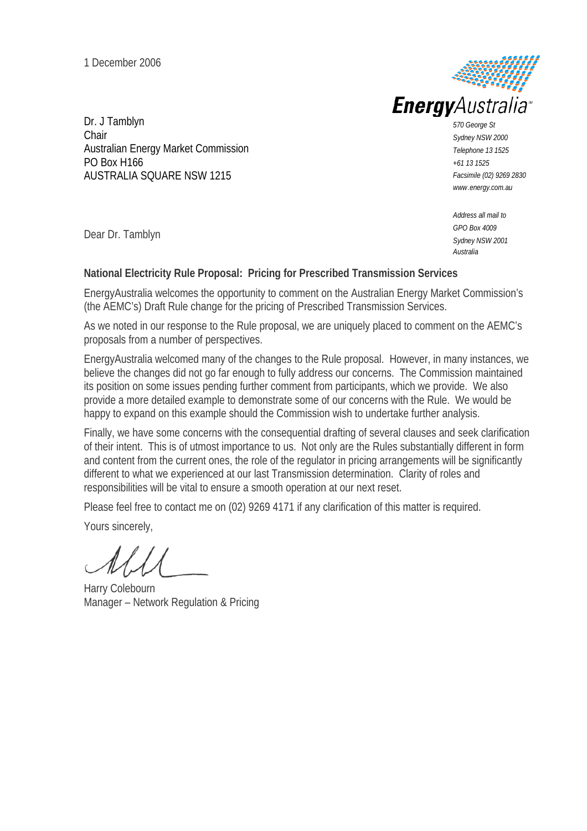1 December 2006



Dr. J Tamblyn Chair Australian Energy Market Commission PO Box H166 AUSTRALIA SQUARE NSW 1215

*570 George St Sydney NSW 2000 Telephone 13 1525 +61 13 1525 Facsimile (02) 9269 2830 www.energy.com.au*

*Address all mail to GPO Box 4009 Sydney NSW 2001 Australia*

Dear Dr. Tamblyn

#### **National Electricity Rule Proposal: Pricing for Prescribed Transmission Services**

EnergyAustralia welcomes the opportunity to comment on the Australian Energy Market Commission's (the AEMC's) Draft Rule change for the pricing of Prescribed Transmission Services.

As we noted in our response to the Rule proposal, we are uniquely placed to comment on the AEMC's proposals from a number of perspectives.

EnergyAustralia welcomed many of the changes to the Rule proposal. However, in many instances, we believe the changes did not go far enough to fully address our concerns. The Commission maintained its position on some issues pending further comment from participants, which we provide. We also provide a more detailed example to demonstrate some of our concerns with the Rule. We would be happy to expand on this example should the Commission wish to undertake further analysis.

Finally, we have some concerns with the consequential drafting of several clauses and seek clarification of their intent. This is of utmost importance to us. Not only are the Rules substantially different in form and content from the current ones, the role of the regulator in pricing arrangements will be significantly different to what we experienced at our last Transmission determination. Clarity of roles and responsibilities will be vital to ensure a smooth operation at our next reset.

Please feel free to contact me on (02) 9269 4171 if any clarification of this matter is required.

Yours sincerely,

Harry Colebourn Manager – Network Regulation & Pricing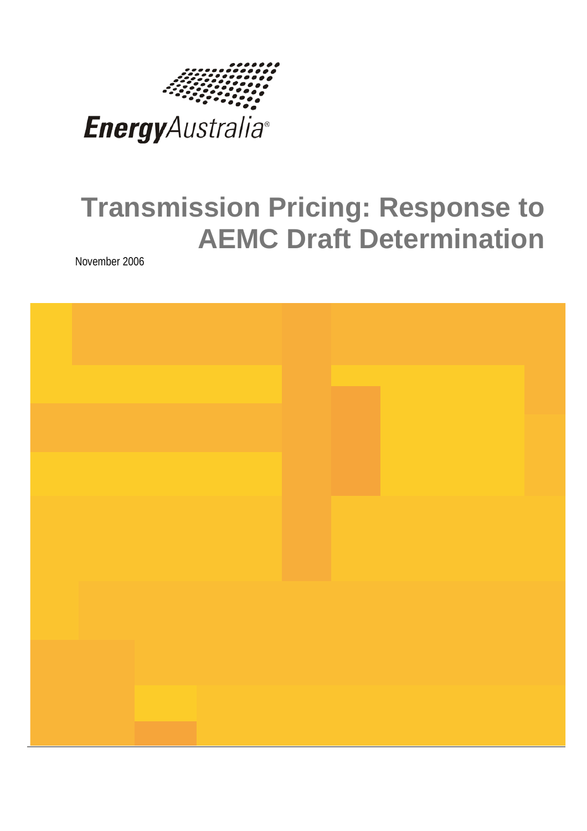

# **Transmission Pricing: Response to AEMC Draft Determination**

November 2006

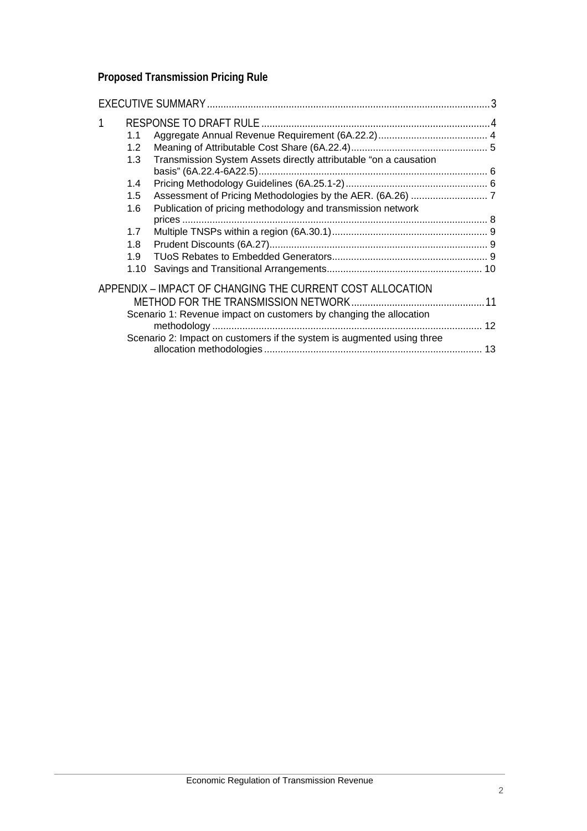## **Proposed Transmission Pricing Rule**

| 1.1              |                                                                        |    |
|------------------|------------------------------------------------------------------------|----|
| 1.2 <sub>1</sub> |                                                                        |    |
| 1.3              | Transmission System Assets directly attributable "on a causation       |    |
| 1.4              |                                                                        |    |
| 1.5              |                                                                        |    |
| 1.6              | Publication of pricing methodology and transmission network            |    |
|                  |                                                                        |    |
| 1.7 <sub>z</sub> |                                                                        |    |
| 1.8              |                                                                        |    |
| 1.9              |                                                                        |    |
| 1.10             |                                                                        |    |
|                  | APPENDIX – IMPACT OF CHANGING THE CURRENT COST ALLOCATION              |    |
|                  |                                                                        |    |
|                  | Scenario 1: Revenue impact on customers by changing the allocation     |    |
|                  |                                                                        | 12 |
|                  | Scenario 2: Impact on customers if the system is augmented using three |    |
|                  |                                                                        |    |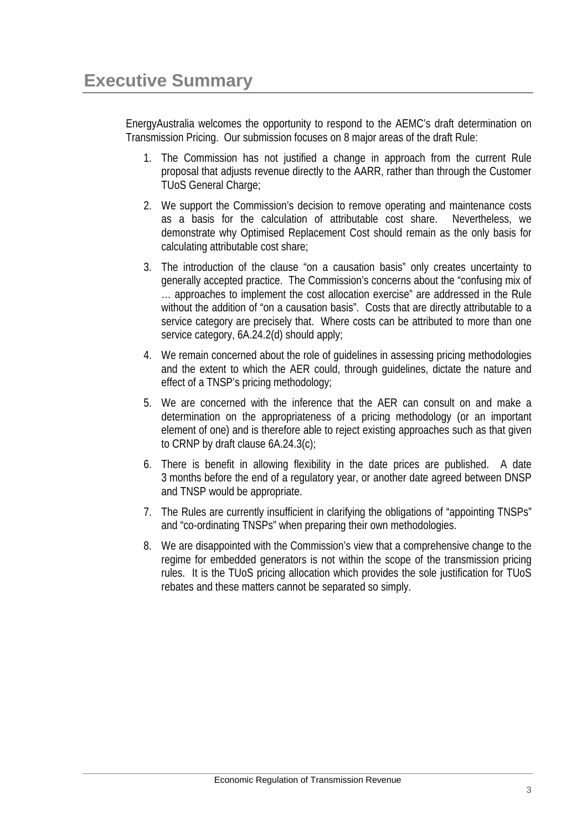EnergyAustralia welcomes the opportunity to respond to the AEMC's draft determination on Transmission Pricing. Our submission focuses on 8 major areas of the draft Rule:

- 1. The Commission has not justified a change in approach from the current Rule proposal that adjusts revenue directly to the AARR, rather than through the Customer TUoS General Charge;
- 2. We support the Commission's decision to remove operating and maintenance costs as a basis for the calculation of attributable cost share. Nevertheless, we demonstrate why Optimised Replacement Cost should remain as the only basis for calculating attributable cost share;
- 3. The introduction of the clause "on a causation basis" only creates uncertainty to generally accepted practice. The Commission's concerns about the "confusing mix of … approaches to implement the cost allocation exercise" are addressed in the Rule without the addition of "on a causation basis". Costs that are directly attributable to a service category are precisely that. Where costs can be attributed to more than one service category, 6A.24.2(d) should apply;
- 4. We remain concerned about the role of guidelines in assessing pricing methodologies and the extent to which the AER could, through guidelines, dictate the nature and effect of a TNSP's pricing methodology;
- 5. We are concerned with the inference that the AER can consult on and make a determination on the appropriateness of a pricing methodology (or an important element of one) and is therefore able to reject existing approaches such as that given to CRNP by draft clause 6A.24.3(c);
- 6. There is benefit in allowing flexibility in the date prices are published. A date 3 months before the end of a regulatory year, or another date agreed between DNSP and TNSP would be appropriate.
- 7. The Rules are currently insufficient in clarifying the obligations of "appointing TNSPs" and "co-ordinating TNSPs" when preparing their own methodologies.
- 8. We are disappointed with the Commission's view that a comprehensive change to the regime for embedded generators is not within the scope of the transmission pricing rules. It is the TUoS pricing allocation which provides the sole justification for TUoS rebates and these matters cannot be separated so simply.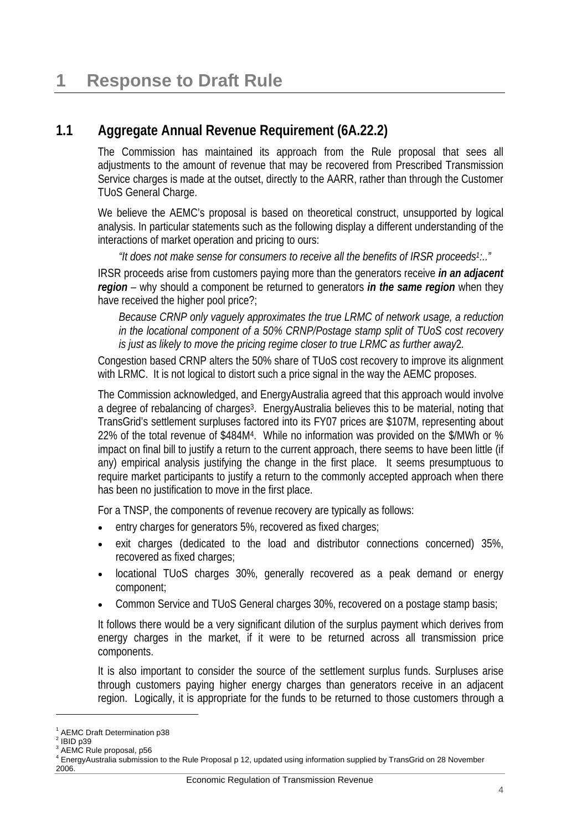#### **1.1 Aggregate Annual Revenue Requirement (6A.22.2)**

The Commission has maintained its approach from the Rule proposal that sees all adjustments to the amount of revenue that may be recovered from Prescribed Transmission Service charges is made at the outset, directly to the AARR, rather than through the Customer TUoS General Charge.

We believe the AEMC's proposal is based on theoretical construct, unsupported by logical analysis. In particular statements such as the following display a different understanding of the interactions of market operation and pricing to ours:

*"It does not make sense for consumers to receive all the benefits of IRSR proceeds1:.."*

IRSR proceeds arise from customers paying more than the generators receive *in an adjacent region* – why should a component be returned to generators *in the same region* when they have received the higher pool price?;

*Because CRNP only vaguely approximates the true LRMC of network usage, a reduction in the locational component of a 50% CRNP/Postage stamp split of TUoS cost recovery is just as likely to move the pricing regime closer to true LRMC as further away*2*.* 

Congestion based CRNP alters the 50% share of TUoS cost recovery to improve its alignment with LRMC. It is not logical to distort such a price signal in the way the AEMC proposes.

The Commission acknowledged, and EnergyAustralia agreed that this approach would involve a degree of rebalancing of charges<sup>3</sup>. EnergyAustralia believes this to be material, noting that TransGrid's settlement surpluses factored into its FY07 prices are \$107M, representing about 22% of the total revenue of \$484M4. While no information was provided on the \$/MWh or % impact on final bill to justify a return to the current approach, there seems to have been little (if any) empirical analysis justifying the change in the first place. It seems presumptuous to require market participants to justify a return to the commonly accepted approach when there has been no justification to move in the first place.

For a TNSP, the components of revenue recovery are typically as follows:

- entry charges for generators 5%, recovered as fixed charges;
- exit charges (dedicated to the load and distributor connections concerned) 35%, recovered as fixed charges;
- locational TUoS charges 30%, generally recovered as a peak demand or energy component;
- Common Service and TUoS General charges 30%, recovered on a postage stamp basis;

It follows there would be a very significant dilution of the surplus payment which derives from energy charges in the market, if it were to be returned across all transmission price components.

It is also important to consider the source of the settlement surplus funds. Surpluses arise through customers paying higher energy charges than generators receive in an adjacent region. Logically, it is appropriate for the funds to be returned to those customers through a

l

<sup>&</sup>lt;sup>1</sup> AEMC Draft Determination p38

 $2$  IBID p39

<sup>&</sup>lt;sup>3</sup> AEMC Rule proposal, p56

<sup>4</sup> EnergyAustralia submission to the Rule Proposal p 12, updated using information supplied by TransGrid on 28 November 2006.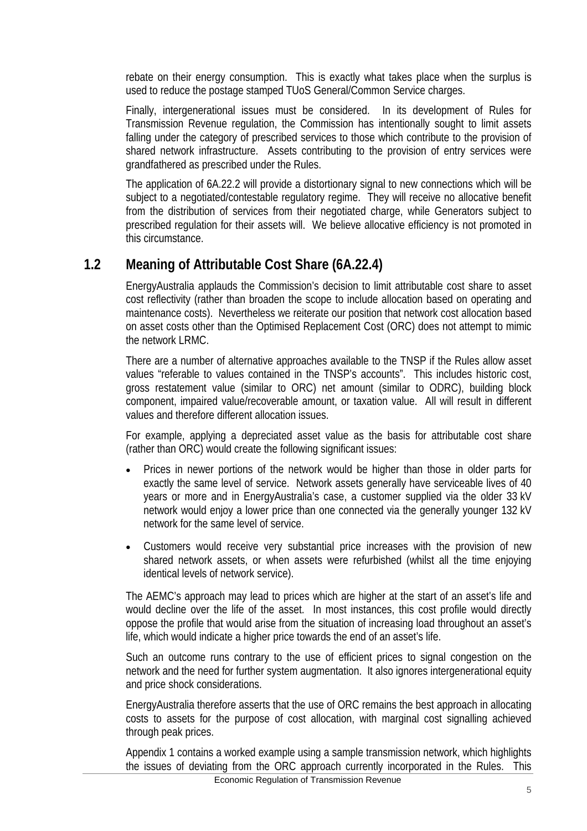rebate on their energy consumption. This is exactly what takes place when the surplus is used to reduce the postage stamped TUoS General/Common Service charges.

Finally, intergenerational issues must be considered. In its development of Rules for Transmission Revenue regulation, the Commission has intentionally sought to limit assets falling under the category of prescribed services to those which contribute to the provision of shared network infrastructure. Assets contributing to the provision of entry services were grandfathered as prescribed under the Rules.

The application of 6A.22.2 will provide a distortionary signal to new connections which will be subject to a negotiated/contestable regulatory regime. They will receive no allocative benefit from the distribution of services from their negotiated charge, while Generators subject to prescribed regulation for their assets will. We believe allocative efficiency is not promoted in this circumstance.

#### **1.2 Meaning of Attributable Cost Share (6A.22.4)**

EnergyAustralia applauds the Commission's decision to limit attributable cost share to asset cost reflectivity (rather than broaden the scope to include allocation based on operating and maintenance costs). Nevertheless we reiterate our position that network cost allocation based on asset costs other than the Optimised Replacement Cost (ORC) does not attempt to mimic the network LRMC.

There are a number of alternative approaches available to the TNSP if the Rules allow asset values "referable to values contained in the TNSP's accounts". This includes historic cost, gross restatement value (similar to ORC) net amount (similar to ODRC), building block component, impaired value/recoverable amount, or taxation value. All will result in different values and therefore different allocation issues.

For example, applying a depreciated asset value as the basis for attributable cost share (rather than ORC) would create the following significant issues:

- Prices in newer portions of the network would be higher than those in older parts for exactly the same level of service. Network assets generally have serviceable lives of 40 years or more and in EnergyAustralia's case, a customer supplied via the older 33 kV network would enjoy a lower price than one connected via the generally younger 132 kV network for the same level of service.
- Customers would receive very substantial price increases with the provision of new shared network assets, or when assets were refurbished (whilst all the time enjoying identical levels of network service).

The AEMC's approach may lead to prices which are higher at the start of an asset's life and would decline over the life of the asset. In most instances, this cost profile would directly oppose the profile that would arise from the situation of increasing load throughout an asset's life, which would indicate a higher price towards the end of an asset's life.

Such an outcome runs contrary to the use of efficient prices to signal congestion on the network and the need for further system augmentation. It also ignores intergenerational equity and price shock considerations.

EnergyAustralia therefore asserts that the use of ORC remains the best approach in allocating costs to assets for the purpose of cost allocation, with marginal cost signalling achieved through peak prices.

Appendix 1 contains a worked example using a sample transmission network, which highlights the issues of deviating from the ORC approach currently incorporated in the Rules. This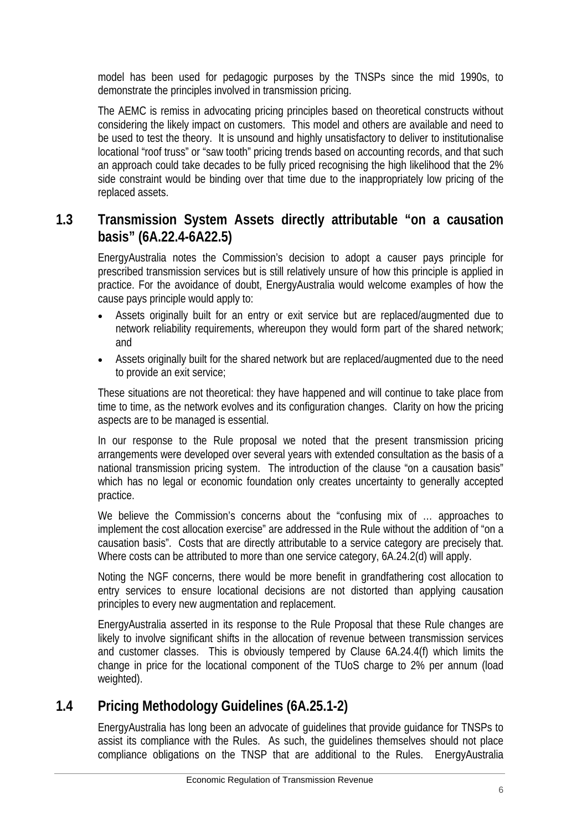model has been used for pedagogic purposes by the TNSPs since the mid 1990s, to demonstrate the principles involved in transmission pricing.

The AEMC is remiss in advocating pricing principles based on theoretical constructs without considering the likely impact on customers. This model and others are available and need to be used to test the theory. It is unsound and highly unsatisfactory to deliver to institutionalise locational "roof truss" or "saw tooth" pricing trends based on accounting records, and that such an approach could take decades to be fully priced recognising the high likelihood that the 2% side constraint would be binding over that time due to the inappropriately low pricing of the replaced assets.

#### **1.3 Transmission System Assets directly attributable "on a causation basis" (6A.22.4-6A22.5)**

EnergyAustralia notes the Commission's decision to adopt a causer pays principle for prescribed transmission services but is still relatively unsure of how this principle is applied in practice. For the avoidance of doubt, EnergyAustralia would welcome examples of how the cause pays principle would apply to:

- Assets originally built for an entry or exit service but are replaced/augmented due to network reliability requirements, whereupon they would form part of the shared network; and
- Assets originally built for the shared network but are replaced/augmented due to the need to provide an exit service;

These situations are not theoretical: they have happened and will continue to take place from time to time, as the network evolves and its configuration changes. Clarity on how the pricing aspects are to be managed is essential.

In our response to the Rule proposal we noted that the present transmission pricing arrangements were developed over several years with extended consultation as the basis of a national transmission pricing system. The introduction of the clause "on a causation basis" which has no legal or economic foundation only creates uncertainty to generally accepted practice.

We believe the Commission's concerns about the "confusing mix of ... approaches to implement the cost allocation exercise" are addressed in the Rule without the addition of "on a causation basis". Costs that are directly attributable to a service category are precisely that. Where costs can be attributed to more than one service category, 6A.24.2(d) will apply.

Noting the NGF concerns, there would be more benefit in grandfathering cost allocation to entry services to ensure locational decisions are not distorted than applying causation principles to every new augmentation and replacement.

EnergyAustralia asserted in its response to the Rule Proposal that these Rule changes are likely to involve significant shifts in the allocation of revenue between transmission services and customer classes. This is obviously tempered by Clause 6A.24.4(f) which limits the change in price for the locational component of the TUoS charge to 2% per annum (load weighted).

## **1.4 Pricing Methodology Guidelines (6A.25.1-2)**

EnergyAustralia has long been an advocate of guidelines that provide guidance for TNSPs to assist its compliance with the Rules. As such, the guidelines themselves should not place compliance obligations on the TNSP that are additional to the Rules. EnergyAustralia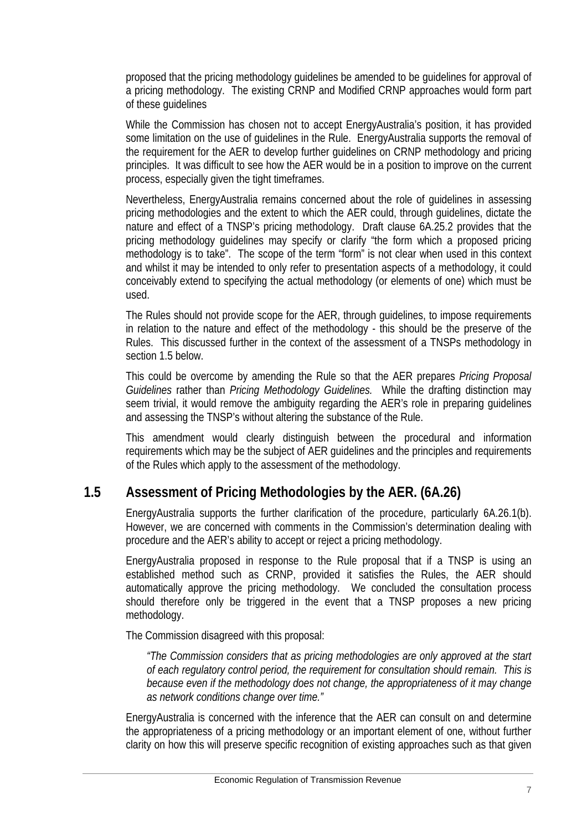proposed that the pricing methodology guidelines be amended to be guidelines for approval of a pricing methodology. The existing CRNP and Modified CRNP approaches would form part of these guidelines

While the Commission has chosen not to accept EnergyAustralia's position, it has provided some limitation on the use of guidelines in the Rule. EnergyAustralia supports the removal of the requirement for the AER to develop further guidelines on CRNP methodology and pricing principles. It was difficult to see how the AER would be in a position to improve on the current process, especially given the tight timeframes.

Nevertheless, EnergyAustralia remains concerned about the role of guidelines in assessing pricing methodologies and the extent to which the AER could, through guidelines, dictate the nature and effect of a TNSP's pricing methodology. Draft clause 6A.25.2 provides that the pricing methodology guidelines may specify or clarify "the form which a proposed pricing methodology is to take". The scope of the term "form" is not clear when used in this context and whilst it may be intended to only refer to presentation aspects of a methodology, it could conceivably extend to specifying the actual methodology (or elements of one) which must be used.

The Rules should not provide scope for the AER, through guidelines, to impose requirements in relation to the nature and effect of the methodology - this should be the preserve of the Rules. This discussed further in the context of the assessment of a TNSPs methodology in section 1.5 below.

This could be overcome by amending the Rule so that the AER prepares *Pricing Proposal Guidelines* rather than *Pricing Methodology Guidelines.* While the drafting distinction may seem trivial, it would remove the ambiguity regarding the AER's role in preparing guidelines and assessing the TNSP's without altering the substance of the Rule.

This amendment would clearly distinguish between the procedural and information requirements which may be the subject of AER guidelines and the principles and requirements of the Rules which apply to the assessment of the methodology.

#### **1.5 Assessment of Pricing Methodologies by the AER. (6A.26)**

EnergyAustralia supports the further clarification of the procedure, particularly 6A.26.1(b). However, we are concerned with comments in the Commission's determination dealing with procedure and the AER's ability to accept or reject a pricing methodology.

EnergyAustralia proposed in response to the Rule proposal that if a TNSP is using an established method such as CRNP, provided it satisfies the Rules, the AER should automatically approve the pricing methodology. We concluded the consultation process should therefore only be triggered in the event that a TNSP proposes a new pricing methodology.

The Commission disagreed with this proposal:

*"The Commission considers that as pricing methodologies are only approved at the start of each regulatory control period, the requirement for consultation should remain. This is because even if the methodology does not change, the appropriateness of it may change as network conditions change over time."* 

EnergyAustralia is concerned with the inference that the AER can consult on and determine the appropriateness of a pricing methodology or an important element of one, without further clarity on how this will preserve specific recognition of existing approaches such as that given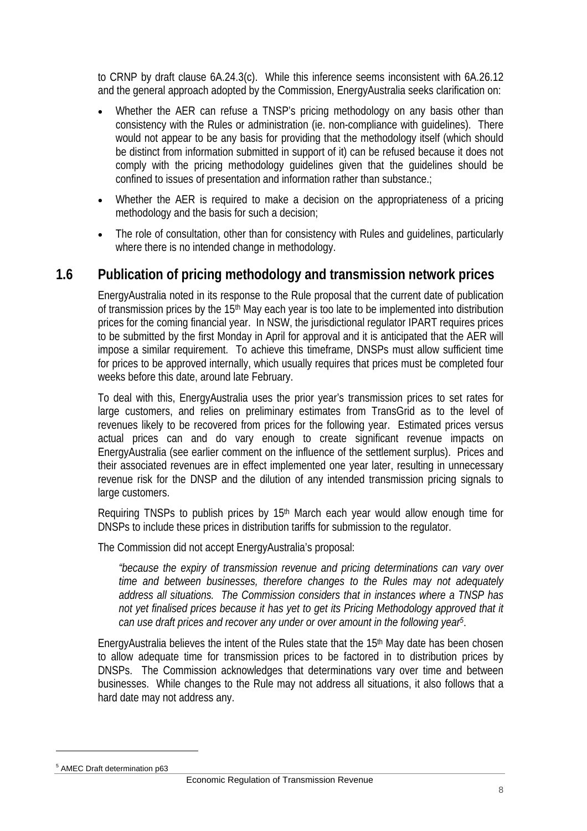to CRNP by draft clause 6A.24.3(c). While this inference seems inconsistent with 6A.26.12 and the general approach adopted by the Commission, EnergyAustralia seeks clarification on:

- Whether the AER can refuse a TNSP's pricing methodology on any basis other than consistency with the Rules or administration (ie. non-compliance with guidelines). There would not appear to be any basis for providing that the methodology itself (which should be distinct from information submitted in support of it) can be refused because it does not comply with the pricing methodology guidelines given that the guidelines should be confined to issues of presentation and information rather than substance.;
- Whether the AER is required to make a decision on the appropriateness of a pricing methodology and the basis for such a decision;
- The role of consultation, other than for consistency with Rules and guidelines, particularly where there is no intended change in methodology.

#### **1.6 Publication of pricing methodology and transmission network prices**

EnergyAustralia noted in its response to the Rule proposal that the current date of publication of transmission prices by the 15<sup>th</sup> May each year is too late to be implemented into distribution prices for the coming financial year. In NSW, the jurisdictional regulator IPART requires prices to be submitted by the first Monday in April for approval and it is anticipated that the AER will impose a similar requirement. To achieve this timeframe, DNSPs must allow sufficient time for prices to be approved internally, which usually requires that prices must be completed four weeks before this date, around late February.

To deal with this, EnergyAustralia uses the prior year's transmission prices to set rates for large customers, and relies on preliminary estimates from TransGrid as to the level of revenues likely to be recovered from prices for the following year. Estimated prices versus actual prices can and do vary enough to create significant revenue impacts on EnergyAustralia (see earlier comment on the influence of the settlement surplus). Prices and their associated revenues are in effect implemented one year later, resulting in unnecessary revenue risk for the DNSP and the dilution of any intended transmission pricing signals to large customers.

Requiring TNSPs to publish prices by 15<sup>th</sup> March each year would allow enough time for DNSPs to include these prices in distribution tariffs for submission to the regulator.

The Commission did not accept EnergyAustralia's proposal:

*"because the expiry of transmission revenue and pricing determinations can vary over time and between businesses, therefore changes to the Rules may not adequately address all situations. The Commission considers that in instances where a TNSP has*  not yet finalised prices because it has yet to get its Pricing Methodology approved that it *can use draft prices and recover any under or over amount in the following year5*.

EnergyAustralia believes the intent of the Rules state that the 15<sup>th</sup> May date has been chosen to allow adequate time for transmission prices to be factored in to distribution prices by DNSPs. The Commission acknowledges that determinations vary over time and between businesses. While changes to the Rule may not address all situations, it also follows that a hard date may not address any.

l

<sup>5</sup> AMEC Draft determination p63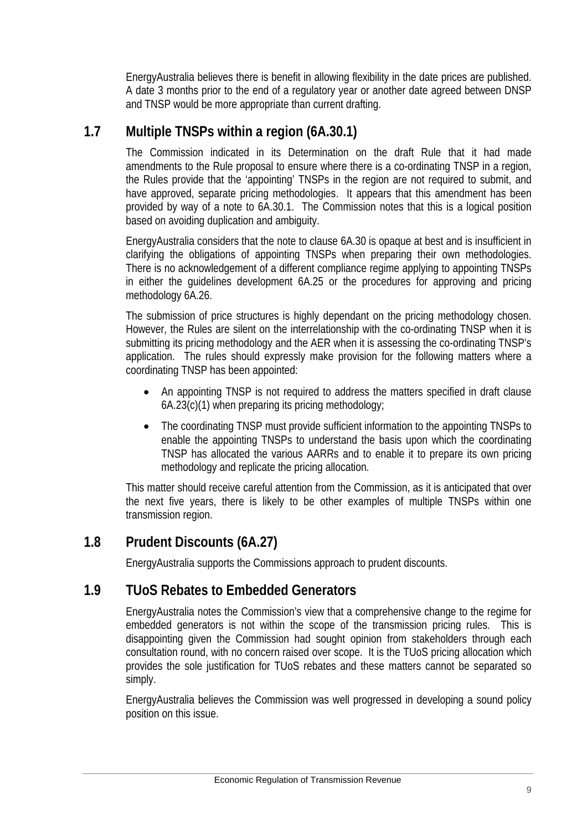EnergyAustralia believes there is benefit in allowing flexibility in the date prices are published. A date 3 months prior to the end of a regulatory year or another date agreed between DNSP and TNSP would be more appropriate than current drafting.

#### **1.7 Multiple TNSPs within a region (6A.30.1)**

The Commission indicated in its Determination on the draft Rule that it had made amendments to the Rule proposal to ensure where there is a co-ordinating TNSP in a region, the Rules provide that the 'appointing' TNSPs in the region are not required to submit, and have approved, separate pricing methodologies. It appears that this amendment has been provided by way of a note to 6A.30.1. The Commission notes that this is a logical position based on avoiding duplication and ambiguity.

EnergyAustralia considers that the note to clause 6A.30 is opaque at best and is insufficient in clarifying the obligations of appointing TNSPs when preparing their own methodologies. There is no acknowledgement of a different compliance regime applying to appointing TNSPs in either the guidelines development 6A.25 or the procedures for approving and pricing methodology 6A.26.

The submission of price structures is highly dependant on the pricing methodology chosen. However, the Rules are silent on the interrelationship with the co-ordinating TNSP when it is submitting its pricing methodology and the AER when it is assessing the co-ordinating TNSP's application. The rules should expressly make provision for the following matters where a coordinating TNSP has been appointed:

- An appointing TNSP is not required to address the matters specified in draft clause 6A.23(c)(1) when preparing its pricing methodology;
- The coordinating TNSP must provide sufficient information to the appointing TNSPs to enable the appointing TNSPs to understand the basis upon which the coordinating TNSP has allocated the various AARRs and to enable it to prepare its own pricing methodology and replicate the pricing allocation.

This matter should receive careful attention from the Commission, as it is anticipated that over the next five years, there is likely to be other examples of multiple TNSPs within one transmission region.

#### **1.8 Prudent Discounts (6A.27)**

EnergyAustralia supports the Commissions approach to prudent discounts.

#### **1.9 TUoS Rebates to Embedded Generators**

EnergyAustralia notes the Commission's view that a comprehensive change to the regime for embedded generators is not within the scope of the transmission pricing rules. This is disappointing given the Commission had sought opinion from stakeholders through each consultation round, with no concern raised over scope. It is the TUoS pricing allocation which provides the sole justification for TUoS rebates and these matters cannot be separated so simply.

EnergyAustralia believes the Commission was well progressed in developing a sound policy position on this issue.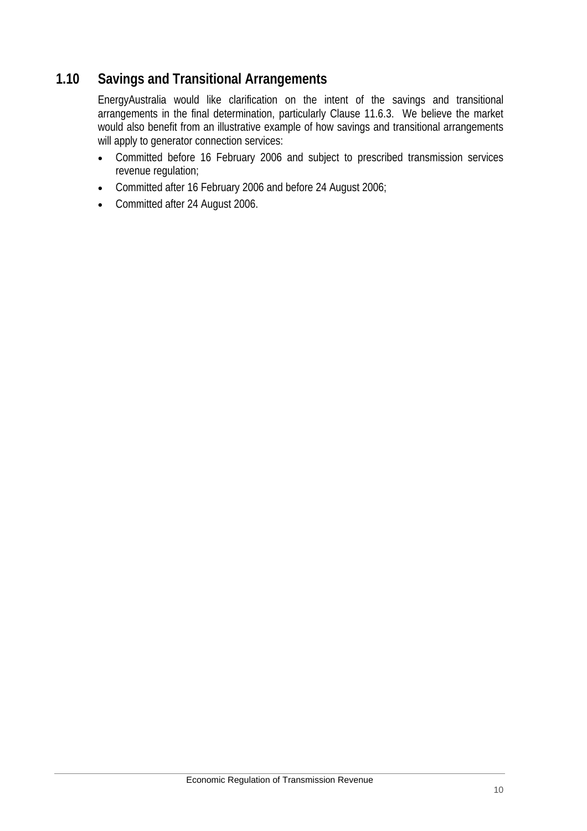#### **1.10 Savings and Transitional Arrangements**

EnergyAustralia would like clarification on the intent of the savings and transitional arrangements in the final determination, particularly Clause 11.6.3. We believe the market would also benefit from an illustrative example of how savings and transitional arrangements will apply to generator connection services:

- Committed before 16 February 2006 and subject to prescribed transmission services revenue regulation;
- Committed after 16 February 2006 and before 24 August 2006;
- Committed after 24 August 2006.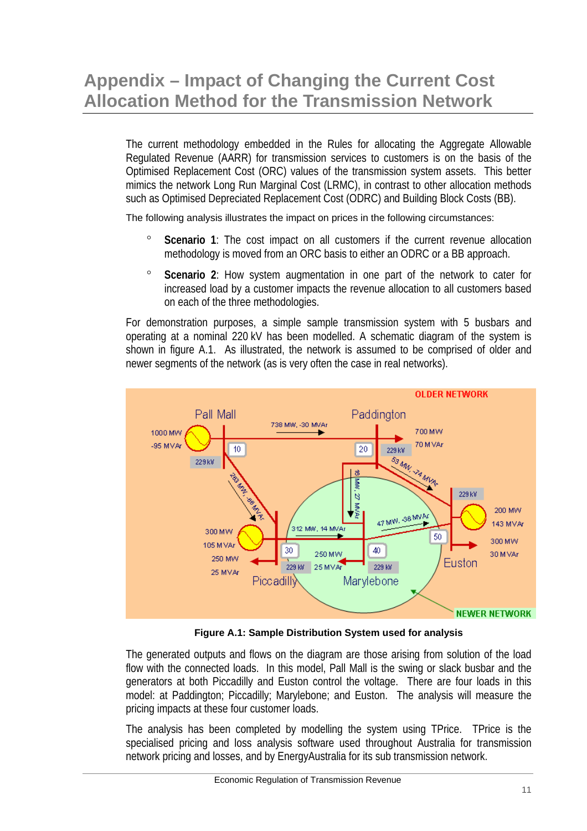# **Appendix – Impact of Changing the Current Cost Allocation Method for the Transmission Network**

The current methodology embedded in the Rules for allocating the Aggregate Allowable Regulated Revenue (AARR) for transmission services to customers is on the basis of the Optimised Replacement Cost (ORC) values of the transmission system assets. This better mimics the network Long Run Marginal Cost (LRMC), in contrast to other allocation methods such as Optimised Depreciated Replacement Cost (ODRC) and Building Block Costs (BB).

The following analysis illustrates the impact on prices in the following circumstances:

- **Scenario** 1: The cost impact on all customers if the current revenue allocation methodology is moved from an ORC basis to either an ODRC or a BB approach.
- ° **Scenario 2**: How system augmentation in one part of the network to cater for increased load by a customer impacts the revenue allocation to all customers based on each of the three methodologies.

For demonstration purposes, a simple sample transmission system with 5 busbars and operating at a nominal 220 kV has been modelled. A schematic diagram of the system is shown in figure A.1. As illustrated, the network is assumed to be comprised of older and newer segments of the network (as is very often the case in real networks).



**Figure A.1: Sample Distribution System used for analysis** 

The generated outputs and flows on the diagram are those arising from solution of the load flow with the connected loads. In this model, Pall Mall is the swing or slack busbar and the generators at both Piccadilly and Euston control the voltage. There are four loads in this model: at Paddington; Piccadilly; Marylebone; and Euston. The analysis will measure the pricing impacts at these four customer loads.

The analysis has been completed by modelling the system using TPrice. TPrice is the specialised pricing and loss analysis software used throughout Australia for transmission network pricing and losses, and by EnergyAustralia for its sub transmission network.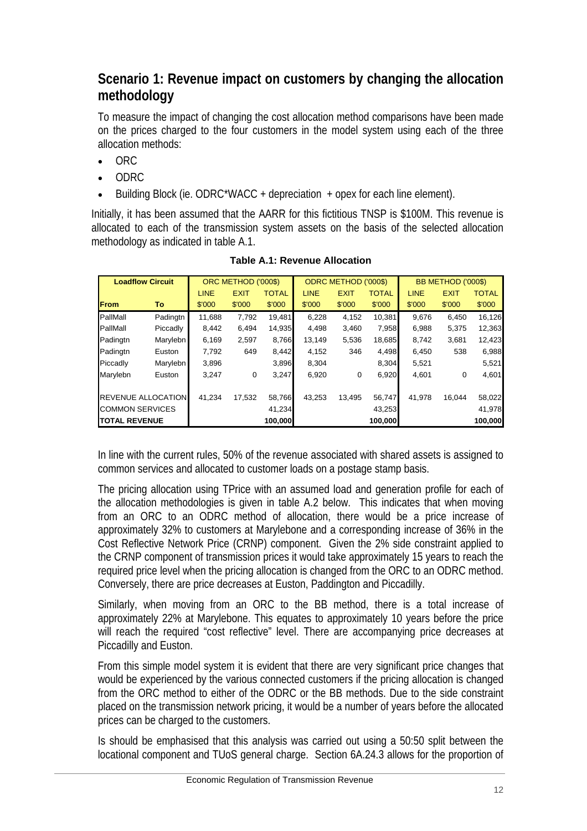#### **Scenario 1: Revenue impact on customers by changing the allocation methodology**

To measure the impact of changing the cost allocation method comparisons have been made on the prices charged to the four customers in the model system using each of the three allocation methods:

- ORC
- ODRC
- Building Block (ie. ODRC\*WACC + depreciation + opex for each line element).

Initially, it has been assumed that the AARR for this fictitious TNSP is \$100M. This revenue is allocated to each of the transmission system assets on the basis of the selected allocation methodology as indicated in table A.1.

| <b>Loadflow Circuit</b>   |          |             | ORC METHOD ('000\$) |              |             | <b>ODRC METHOD ('000\$)</b> |              | BB METHOD ('000\$) |             |              |  |
|---------------------------|----------|-------------|---------------------|--------------|-------------|-----------------------------|--------------|--------------------|-------------|--------------|--|
|                           |          | <b>LINE</b> | <b>EXIT</b>         | <b>TOTAL</b> | <b>LINE</b> | <b>EXIT</b>                 | <b>TOTAL</b> | <b>LINE</b>        | <b>EXIT</b> | <b>TOTAL</b> |  |
| <b>From</b>               | To       | \$'000      | \$'000              | \$'000       | \$'000      | \$'000                      | \$'000       | \$'000             | \$'000      | \$'000       |  |
| PallMall                  | Padingtn | 11,688      | 7,792               | 19.481       | 6,228       | 4,152                       | 10,381       | 9.676              | 6,450       | 16,126       |  |
| PallMall                  | Piccadly | 8.442       | 6.494               | 14.935       | 4,498       | 3,460                       | 7.958        | 6.988              | 5,375       | 12,363       |  |
| Padingtn                  | Marylebn | 6,169       | 2,597               | 8,766        | 13,149      | 5,536                       | 18,685       | 8,742              | 3,681       | 12,423       |  |
| Padingtn                  | Euston   | 7,792       | 649                 | 8,442        | 4,152       | 346                         | 4,498        | 6,450              | 538         | 6,988        |  |
| Piccadly                  | Marylebn | 3,896       |                     | 3,896        | 8,304       |                             | 8,304        | 5,521              |             | 5,521        |  |
| Marylebn                  | Euston   | 3,247       | 0                   | 3,247        | 6,920       | 0                           | 6,920        | 4,601              | 0           | 4,601        |  |
|                           |          |             |                     |              |             |                             |              |                    |             |              |  |
| <b>REVENUE ALLOCATION</b> |          | 41,234      | 17.532              | 58,766       | 43,253      | 13,495                      | 56,747       | 41.978             | 16,044      | 58,022       |  |
| <b>COMMON SERVICES</b>    |          |             |                     | 41,234       |             |                             | 43,253       |                    |             | 41,978       |  |
| <b>TOTAL REVENUE</b>      |          |             |                     | 100,000      |             |                             | 100,000      |                    |             | 100,000      |  |

**Table A.1: Revenue Allocation** 

In line with the current rules, 50% of the revenue associated with shared assets is assigned to common services and allocated to customer loads on a postage stamp basis.

The pricing allocation using TPrice with an assumed load and generation profile for each of the allocation methodologies is given in table A.2 below. This indicates that when moving from an ORC to an ODRC method of allocation, there would be a price increase of approximately 32% to customers at Marylebone and a corresponding increase of 36% in the Cost Reflective Network Price (CRNP) component. Given the 2% side constraint applied to the CRNP component of transmission prices it would take approximately 15 years to reach the required price level when the pricing allocation is changed from the ORC to an ODRC method. Conversely, there are price decreases at Euston, Paddington and Piccadilly.

Similarly, when moving from an ORC to the BB method, there is a total increase of approximately 22% at Marylebone. This equates to approximately 10 years before the price will reach the required "cost reflective" level. There are accompanying price decreases at Piccadilly and Euston.

From this simple model system it is evident that there are very significant price changes that would be experienced by the various connected customers if the pricing allocation is changed from the ORC method to either of the ODRC or the BB methods. Due to the side constraint placed on the transmission network pricing, it would be a number of years before the allocated prices can be charged to the customers.

Is should be emphasised that this analysis was carried out using a 50:50 split between the locational component and TUoS general charge. Section 6A.24.3 allows for the proportion of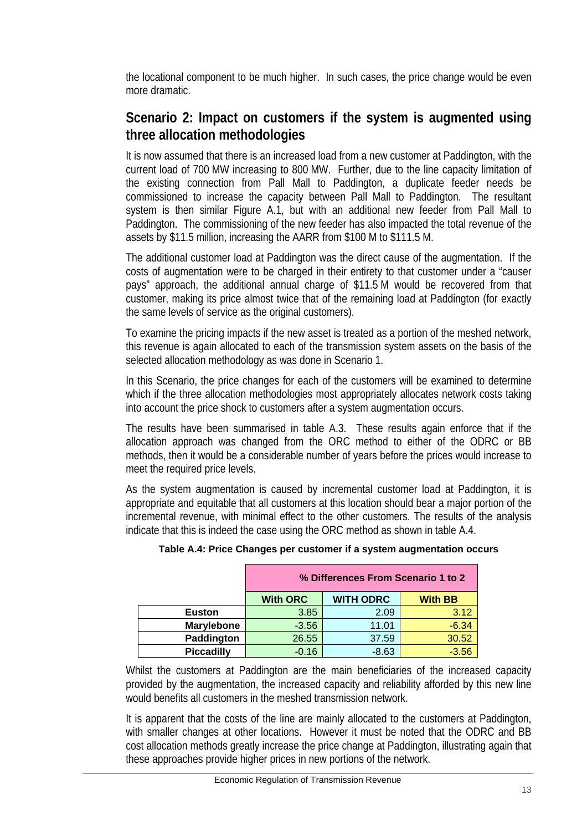the locational component to be much higher. In such cases, the price change would be even more dramatic.

#### **Scenario 2: Impact on customers if the system is augmented using three allocation methodologies**

It is now assumed that there is an increased load from a new customer at Paddington, with the current load of 700 MW increasing to 800 MW. Further, due to the line capacity limitation of the existing connection from Pall Mall to Paddington, a duplicate feeder needs be commissioned to increase the capacity between Pall Mall to Paddington. The resultant system is then similar Figure A.1, but with an additional new feeder from Pall Mall to Paddington. The commissioning of the new feeder has also impacted the total revenue of the assets by \$11.5 million, increasing the AARR from \$100 M to \$111.5 M.

The additional customer load at Paddington was the direct cause of the augmentation. If the costs of augmentation were to be charged in their entirety to that customer under a "causer pays" approach, the additional annual charge of \$11.5 M would be recovered from that customer, making its price almost twice that of the remaining load at Paddington (for exactly the same levels of service as the original customers).

To examine the pricing impacts if the new asset is treated as a portion of the meshed network, this revenue is again allocated to each of the transmission system assets on the basis of the selected allocation methodology as was done in Scenario 1.

In this Scenario, the price changes for each of the customers will be examined to determine which if the three allocation methodologies most appropriately allocates network costs taking into account the price shock to customers after a system augmentation occurs.

The results have been summarised in table A.3. These results again enforce that if the allocation approach was changed from the ORC method to either of the ODRC or BB methods, then it would be a considerable number of years before the prices would increase to meet the required price levels.

As the system augmentation is caused by incremental customer load at Paddington, it is appropriate and equitable that all customers at this location should bear a major portion of the incremental revenue, with minimal effect to the other customers. The results of the analysis indicate that this is indeed the case using the ORC method as shown in table A.4.

|                   | % Differences From Scenario 1 to 2                    |         |         |  |  |  |  |  |  |  |
|-------------------|-------------------------------------------------------|---------|---------|--|--|--|--|--|--|--|
|                   | <b>WITH ODRC</b><br><b>With ORC</b><br><b>With BB</b> |         |         |  |  |  |  |  |  |  |
| <b>Euston</b>     | 3.85                                                  | 2.09    | 3.12    |  |  |  |  |  |  |  |
| <b>Marylebone</b> | $-3.56$                                               | 11.01   | $-6.34$ |  |  |  |  |  |  |  |
| Paddington        | 26.55                                                 | 37.59   | 30.52   |  |  |  |  |  |  |  |
| <b>Piccadilly</b> | $-0.16$                                               | $-8.63$ | $-3.56$ |  |  |  |  |  |  |  |

#### **Table A.4: Price Changes per customer if a system augmentation occurs**

Whilst the customers at Paddington are the main beneficiaries of the increased capacity provided by the augmentation, the increased capacity and reliability afforded by this new line would benefits all customers in the meshed transmission network.

It is apparent that the costs of the line are mainly allocated to the customers at Paddington, with smaller changes at other locations. However it must be noted that the ODRC and BB cost allocation methods greatly increase the price change at Paddington, illustrating again that these approaches provide higher prices in new portions of the network.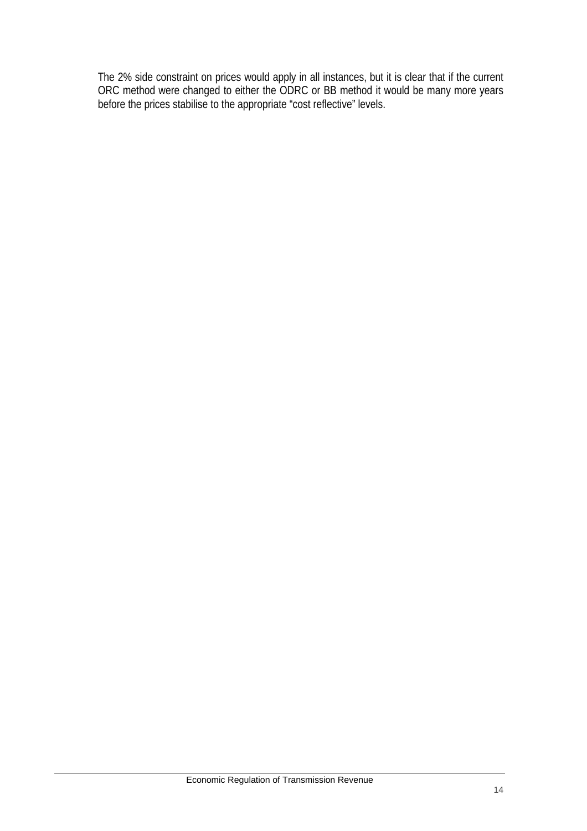The 2% side constraint on prices would apply in all instances, but it is clear that if the current ORC method were changed to either the ODRC or BB method it would be many more years before the prices stabilise to the appropriate "cost reflective" levels.